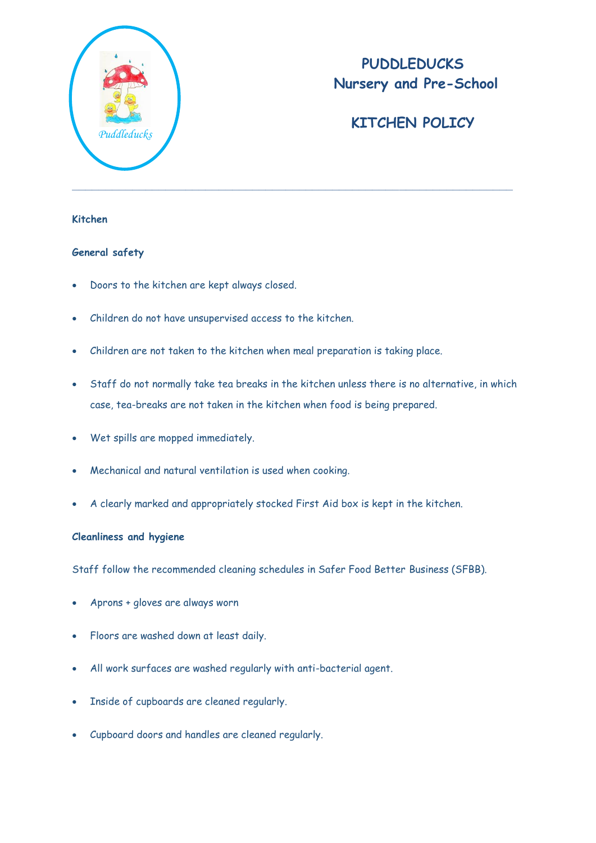

# **PUDDLEDUCKS Nursery and Pre-School**

# **KITCHEN POLICY**

### **Kitchen**

#### **General safety**

- Doors to the kitchen are kept always closed.
- Children do not have unsupervised access to the kitchen.
- Children are not taken to the kitchen when meal preparation is taking place.
- Staff do not normally take tea breaks in the kitchen unless there is no alternative, in which case, tea-breaks are not taken in the kitchen when food is being prepared.
- Wet spills are mopped immediately.
- Mechanical and natural ventilation is used when cooking.
- A clearly marked and appropriately stocked First Aid box is kept in the kitchen.

### **Cleanliness and hygiene**

Staff follow the recommended cleaning schedules in Safer Food Better Business (SFBB).

- Aprons + gloves are always worn
- Floors are washed down at least daily.
- All work surfaces are washed regularly with anti-bacterial agent.
- Inside of cupboards are cleaned regularly.
- Cupboard doors and handles are cleaned regularly.